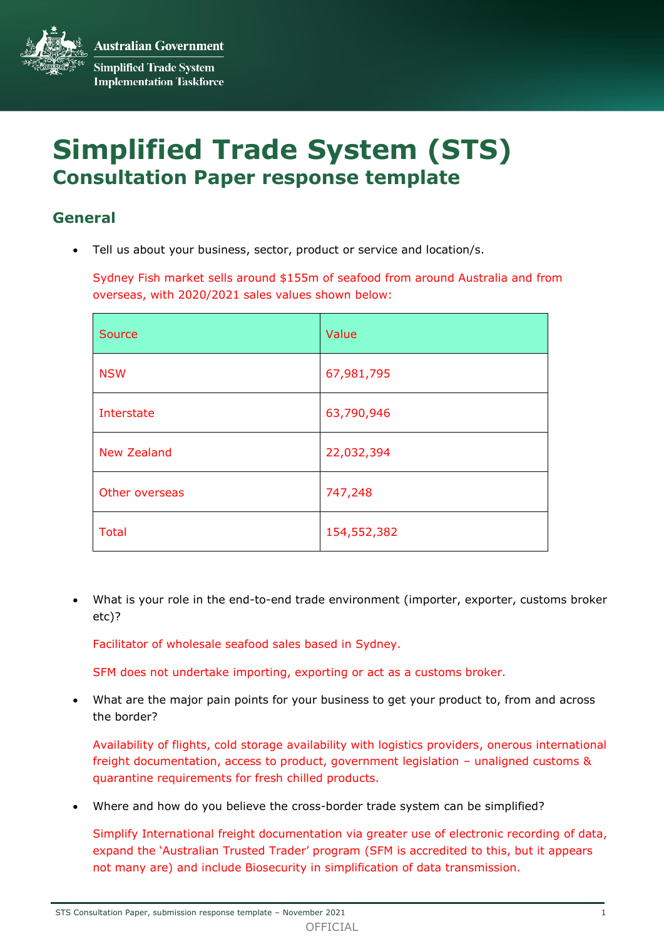**Australian Government Simplified Trade System Implementation Taskforce** 

# **Simplified Trade System (STS) Consultation Paper response template**

# **General**

Tell us about your business, sector, product or service and location/s.

Sydney Fish market sells around \$155m of seafood from around Australia and from overseas, with 2020/2021 sales values shown below:

| Source             | Value       |
|--------------------|-------------|
| <b>NSW</b>         | 67,981,795  |
| Interstate         | 63,790,946  |
| <b>New Zealand</b> | 22,032,394  |
| Other overseas     | 747,248     |
| <b>Total</b>       | 154,552,382 |

 What is your role in the end-to-end trade environment (importer, exporter, customs broker etc)?

Facilitator of wholesale seafood sales based in Sydney.

SFM does not undertake importing, exporting or act as a customs broker.

 What are the major pain points for your business to get your product to, from and across the border?

Availability of flights, cold storage availability with logistics providers, onerous international freight documentation, access to product, government legislation – unaligned customs & quarantine requirements for fresh chilled products.

Where and how do you believe the cross-border trade system can be simplified?

Simplify International freight documentation via greater use of electronic recording of data, expand the 'Australian Trusted Trader' program (SFM is accredited to this, but it appears not many are) and include Biosecurity in simplification of data transmission.

STS Consultation Paper, submission response template – November 2021 1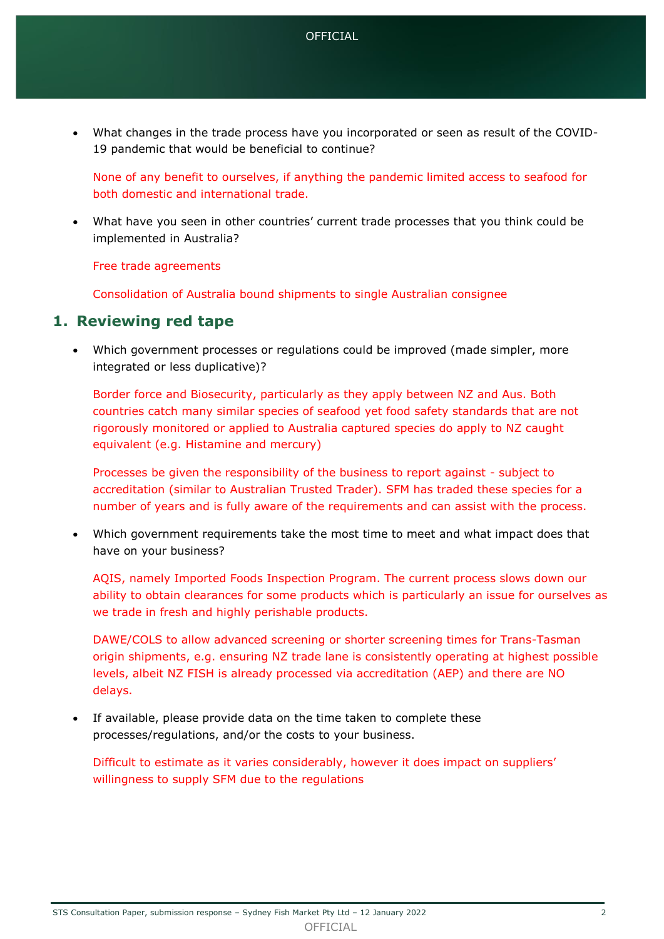What changes in the trade process have you incorporated or seen as result of the COVID-19 pandemic that would be beneficial to continue?

None of any benefit to ourselves, if anything the pandemic limited access to seafood for both domestic and international trade.

 What have you seen in other countries' current trade processes that you think could be implemented in Australia?

Free trade agreements

Consolidation of Australia bound shipments to single Australian consignee

## **1. Reviewing red tape**

 Which government processes or regulations could be improved (made simpler, more integrated or less duplicative)?

Border force and Biosecurity, particularly as they apply between NZ and Aus. Both countries catch many similar species of seafood yet food safety standards that are not rigorously monitored or applied to Australia captured species do apply to NZ caught equivalent (e.g. Histamine and mercury)

Processes be given the responsibility of the business to report against - subject to accreditation (similar to Australian Trusted Trader). SFM has traded these species for a number of years and is fully aware of the requirements and can assist with the process.

 Which government requirements take the most time to meet and what impact does that have on your business?

AQIS, namely Imported Foods Inspection Program. The current process slows down our ability to obtain clearances for some products which is particularly an issue for ourselves as we trade in fresh and highly perishable products.

DAWE/COLS to allow advanced screening or shorter screening times for Trans-Tasman origin shipments, e.g. ensuring NZ trade lane is consistently operating at highest possible levels, albeit NZ FISH is already processed via accreditation (AEP) and there are NO delays.

 If available, please provide data on the time taken to complete these processes/regulations, and/or the costs to your business.

Difficult to estimate as it varies considerably, however it does impact on suppliers' willingness to supply SFM due to the regulations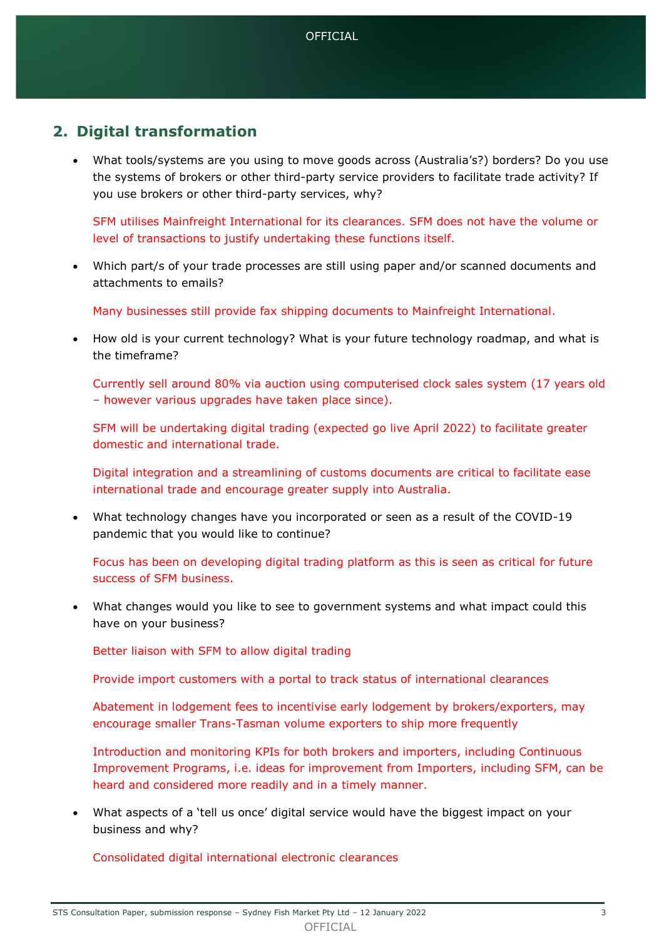# **2. Digital transformation**

 What tools/systems are you using to move goods across (Australia's?) borders? Do you use the systems of brokers or other third-party service providers to facilitate trade activity? If you use brokers or other third-party services, why?

SFM utilises Mainfreight International for its clearances. SFM does not have the volume or level of transactions to justify undertaking these functions itself.

 Which part/s of your trade processes are still using paper and/or scanned documents and attachments to emails?

Many businesses still provide fax shipping documents to Mainfreight International.

 How old is your current technology? What is your future technology roadmap, and what is the timeframe?

Currently sell around 80% via auction using computerised clock sales system (17 years old – however various upgrades have taken place since).

SFM will be undertaking digital trading (expected go live April 2022) to facilitate greater domestic and international trade.

Digital integration and a streamlining of customs documents are critical to facilitate ease international trade and encourage greater supply into Australia.

 What technology changes have you incorporated or seen as a result of the COVID-19 pandemic that you would like to continue?

Focus has been on developing digital trading platform as this is seen as critical for future success of SFM business.

 What changes would you like to see to government systems and what impact could this have on your business?

Better liaison with SFM to allow digital trading

Provide import customers with a portal to track status of international clearances

Abatement in lodgement fees to incentivise early lodgement by brokers/exporters, may encourage smaller Trans-Tasman volume exporters to ship more frequently

Introduction and monitoring KPIs for both brokers and importers, including Continuous Improvement Programs, i.e. ideas for improvement from Importers, including SFM, can be heard and considered more readily and in a timely manner.

 What aspects of a 'tell us once' digital service would have the biggest impact on your business and why?

Consolidated digital international electronic clearances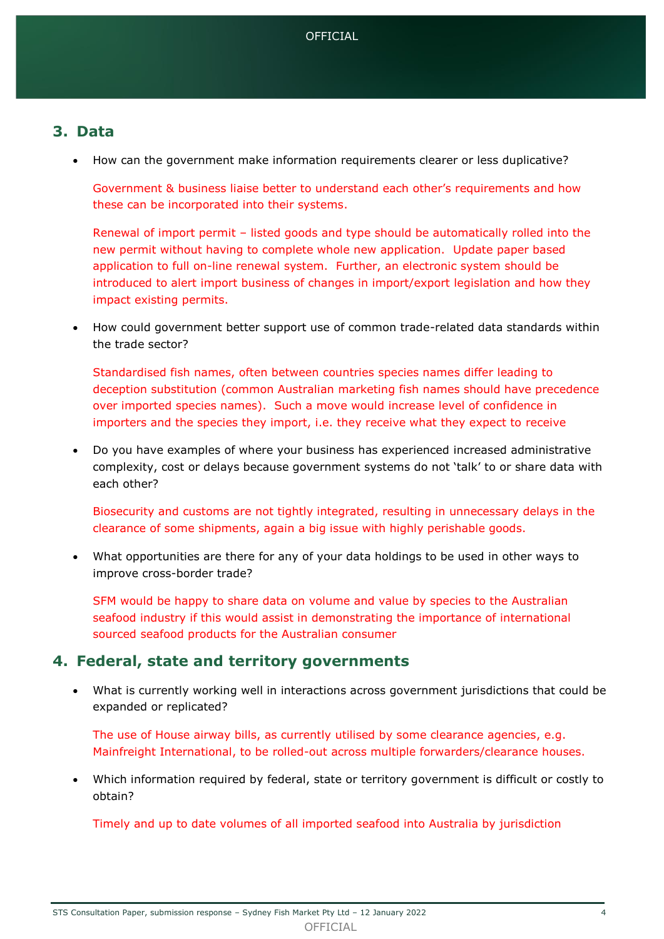## **3. Data**

How can the government make information requirements clearer or less duplicative?

Government & business liaise better to understand each other's requirements and how these can be incorporated into their systems.

Renewal of import permit – listed goods and type should be automatically rolled into the new permit without having to complete whole new application. Update paper based application to full on-line renewal system. Further, an electronic system should be introduced to alert import business of changes in import/export legislation and how they impact existing permits.

 How could government better support use of common trade-related data standards within the trade sector?

Standardised fish names, often between countries species names differ leading to deception substitution (common Australian marketing fish names should have precedence over imported species names). Such a move would increase level of confidence in importers and the species they import, i.e. they receive what they expect to receive

 Do you have examples of where your business has experienced increased administrative complexity, cost or delays because government systems do not 'talk' to or share data with each other?

Biosecurity and customs are not tightly integrated, resulting in unnecessary delays in the clearance of some shipments, again a big issue with highly perishable goods.

 What opportunities are there for any of your data holdings to be used in other ways to improve cross-border trade?

SFM would be happy to share data on volume and value by species to the Australian seafood industry if this would assist in demonstrating the importance of international sourced seafood products for the Australian consumer

## **4. Federal, state and territory governments**

 What is currently working well in interactions across government jurisdictions that could be expanded or replicated?

The use of House airway bills, as currently utilised by some clearance agencies, e.g. Mainfreight International, to be rolled-out across multiple forwarders/clearance houses.

 Which information required by federal, state or territory government is difficult or costly to obtain?

Timely and up to date volumes of all imported seafood into Australia by jurisdiction